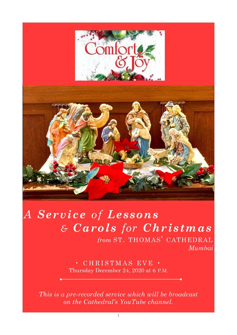

# *A Service of Lessons & Carols for Christmas*

*from* ST. THOMAS' CATHEDRAL *Mumbai* 

 $\cdot$  CHRISTMAS EVE  $\cdot$ Thursday December 24, 2020 at 6 P.M.

*This is a pre-recorded service which will be broadcast on the Cathedral's YouTube channel.*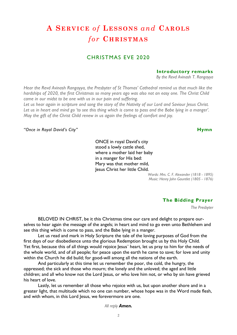# **A SE RV ICE** *of* **LES S ON S** *and* **CA ROLS**   $for$  **CHRISTMAS**

### CHRISTMAS EVE 2020

#### **Introductory remarks**

*By the Revd Avinash T. Rangayya* 

*Hear the Revd Avinash Rangayya, the Presbyter of St Thomas' Cathedral remind us that much like the hardships of 2020, the first Christmas so many years ago was also not an easy one. The Christ Child came in our midst to be one with us in our pain and suffering.* 

*Let us hear again in scripture and song the story of the Nativity of our Lord and Saviour Jesus Christ. Let us in heart and mind go 'to see this thing which is come to pass and the Babe lying in a manger'. May the gift of the Christ Child renew in us again the feelings of comfort and joy.* 

#### *"Once in Royal David's City"* **Hymn**

ONCE in royal David's city stood a lowly cattle shed, where a mother laid her baby in a manger for His bed: Mary was that mother mild, Jesus Christ her little Child.

> *Words: Mrs. C. F. Alexander (1818 - 1895) Music: Henry John Gauntlet (1805 - 1876)*

#### **The Bidding Prayer**

*The Presbyter* 

BELOVED IN CHRIST, be it this Christmas time our care and delight to prepare ourselves to hear again the message of the angels; in heart and mind to go even unto Bethlehem and see this thing which is come to pass, and the Babe lying in a manger.

Let us read and mark in Holy Scripture the tale of the loving purposes of God from the first days of our disobedience unto the glorious Redemption brought us by this Holy Child. Yet first, because this of all things would rejoice Jesus' heart, let us pray to him for the needs of the whole world, and of all people; for peace upon the earth he came to save; for love and unity within the Church he did build; for good-will among all the nations of the earth.

And particularly at this time let us remember the poor, the cold, the hungry, the oppressed; the sick and those who mourn; the lonely and the unloved; the aged and little children; and all who know not the Lord Jesus, or who love him not, or who by sin have grieved his heart of love.

Lastly, let us remember all those who rejoice with us, but upon another shore and in a greater light, that multitude which no one can number, whose hope was in the Word made flesh, and with whom, in this Lord Jesus, we forevermore are one.

*All reply Amen.*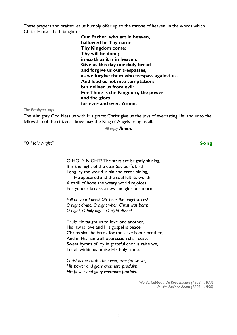These prayers and praises let us humbly offer up to the throne of heaven, in the words which Christ Himself hath taught us:

> **Our Father, who art in heaven, hallowed be Thy name; Thy Kingdom come; Thy will be done; in earth as it is in heaven. Give us this day our daily bread and forgive us our trespasses, as we forgive them who trespass against us. And lead us not into temptation; but deliver us from evil: For Thine is the Kingdom, the power, and the glory, for ever and ever. Amen.**

*The Presbyter says* 

The Almighty God bless us with His grace: Christ give us the joys of everlasting life: and unto the fellowship of the citizens above may the King of Angels bring us all.

*All reply Amen.* 

*"O Holy Night"* **Song** 

O HOLY NIGHT! The stars are brightly shining, It is the night of the dear Saviour"s birth. Long lay the world in sin and error pining, Till He appeared and the soul felt its worth. A thrill of hope the weary world rejoices, For yonder breaks a new and glorious morn.

*Fall on your knees! Oh, hear the angel voices! O night divine, O night when Christ was born; O night, O holy night, O night divine!* 

Truly He taught us to love one another, His law is love and His gospel is peace. Chains shall he break for the slave is our brother, And in His name all oppression shall cease. Sweet hymns of joy in grateful chorus raise we, Let all within us praise His holy name.

*Christ is the Lord! Then ever, ever praise we, His power and glory evermore proclaim! His power and glory evermore proclaim!* 

> *Words: Cappeau De Roquemaure (1808 - 1877) Music: Adolphe Adam (1803 - 1856)*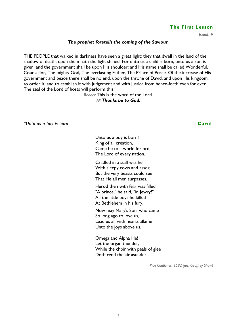#### **The First Lesson**

*Isaiah 9* 

#### *The prophet foretells the coming of the Saviour.*

THE PEOPLE that walked in darkness have seen a great light: they that dwell in the land of the shadow of death, upon them hath the light shined. For unto us a child is born, unto us a son is given: and the government shall be upon His shoulder: and His name shall be called Wonderful, Counsellor, The mighty God, The everlasting Father, The Prince of Peace. Of the increase of His government and peace there shall be no end, upon the throne of David, and upon His kingdom, to order it, and to establish it with judgement and with justice from hence-forth even for ever. The zeal of the Lord of hosts will perform this.

*Reader* This is the word of the Lord.

#### *All Thanks be to God.*

*"Unto us a boy is born"* **Carol**

Unto us a boy is born! King of all creation, Came he to a world forlorn, The Lord of every nation.

Cradled in a stall was he With sleepy cows and asses; But the very beasts could see That He all men surpasses.

Herod then with fear was filled: "A prince," he said, "in Jewry!" All the little boys he killed At Bethlehem in his fury.

Now may Mary's Son, who came So long ago to love us, Lead us all with hearts aflame Unto the joys above us.

Omega and Alpha He! Let the organ thunder, While the choir with peals of glee Doth rend the air asunder.

*Piae Cantiones, 1582 (arr. Geoffrey Shaw)*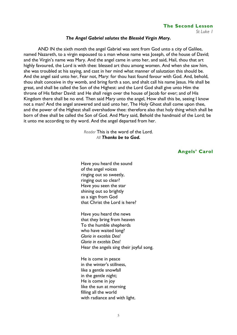#### **The Second Lesson**

*St Luke 1* 

#### *The Angel Gabriel salutes the Blessèd Virgin Mary.*

AND IN the sixth month the angel Gabriel was sent from God unto a city of Galilee, named Nazareth, to a virgin espoused to a man whose name was Joseph, of the house of David; and the Virgin's name was Mary. And the angel came in unto her, and said, Hail, thou that art highly favoured, the Lord is with thee: blessed art thou among women. And when she saw him, she was troubled at his saying, and cast in her mind what manner of salutation this should be. And the angel said unto her, Fear not, Mary: for thou hast found favour with God. And, behold, thou shalt conceive in thy womb, and bring forth a son, and shalt call his name Jesus. He shall be great, and shall be called the Son of the Highest: and the Lord God shall give unto Him the throne of His father David: and He shall reign over the house of Jacob for ever; and of His Kingdom there shall be no end. Then said Mary unto the angel, How shall this be, seeing I know not a man? And the angel answered and said unto her, The Holy Ghost shall come upon thee, and the power of the Highest shall overshadow thee: therefore also that holy thing which shall be born of thee shall be called the Son of God. And Mary said, Behold the handmaid of the Lord; be it unto me according to thy word. And the angel departed from her.

> *Reader* This is the word of the Lord. *All Thanks be to God.*

#### **Angels' Carol**

Have you heard the sound of the angel voices ringing out so sweetly, ringing out so clear? Have you seen the star shining out so brightly as a sign from God that Christ the Lord is here?

Have you heard the news that they bring from heaven To the humble shepherds who have waited long? *Gloria in excelsis Deo! Gloria in excelsis Deo!*  Hear the angels sing their joyful song.

He is come in peace in the winter's stillness, like a gentle snowfall in the gentle night; He is come in joy like the sun at morning filling all the world with radiance and with light.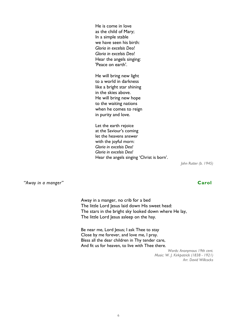He is come in love as the child of Mary; In a simple stable we have seen his birth: *Gloria in excelsis Deo! Gloria in excelsis Deo!*  Hear the angels singing: 'Peace on earth'.

He will bring new light to a world in darkness like a bright star shining in the skies above. He will bring new hope to the waiting nations when he comes to reign in purity and love.

Let the earth rejoice at the Saviour's coming let the heavens answer with the joyful morn: *Gloria in excelsis Deo! Gloria in excelsis Deo!*  Hear the angels singing 'Christ is born'.

*John Rutter (b. 1945)* 

*"Away in a manger"* **Carol** 

Away in a manger, no crib for a bed The little Lord Jesus laid down His sweet head: The stars in the bright sky looked down where He lay, The little Lord Jesus asleep on the hay.

Be near me, Lord Jesus; I ask Thee to stay Close by me forever, and love me, I pray. Bless all the dear children in Thy tender care, And fit us for heaven, to live with Thee there.

> *Words: Anonymous 19th cent. Music: W. J. Kirkpatrick (1838 - 1921) Arr. David Willcocks*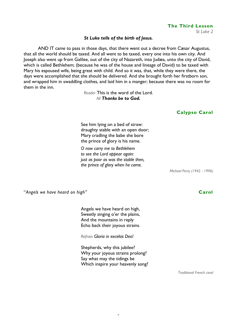### **The Third Lesson**

*St Luke 2* 

### *St Luke tells of the birth of Jesus.*

AND IT came to pass in those days, that there went out a decree from Cæsar Augustus, that all the world should be taxed. And all went to be taxed, every one into his own city. And Joseph also went up from Galilee, out of the city of Nazareth, into Judæa, unto the city of David, which is called Bethlehem; (because he was of the house and lineage of David) to be taxed with Mary his espoused wife, being great with child. And so it was, that, while they were there, the days were accomplished that she should be delivered. And she brought forth her firstborn son, and wrapped him in swaddling clothes, and laid him in a manger; because there was no room for them in the inn.

> *Reader* This is the word of the Lord. *All Thanks be to God.*

### **Calypso Carol**

See him lying on a bed of straw: draughty stable with an open door; Mary cradling the babe she bore the prince of glory is his name.

*O now carry me to Bethlehem to see the Lord appear again: just as poor as was the stable then, the prince of glory when he came.* 

*Michael Perry (1942 - 1996)* 

"*Angels we have heard on high"* **Carol** 

Angels we have heard on high, Sweetly singing o'er the plains, And the mountains in reply Echo back their joyous strains.

*Refrain Gloria in excelsis Deo!* 

Shepherds, why this jubilee? Why your joyous strains prolong? Say what may the tidings be Which inspire your heavenly song?

*Traditional French carol*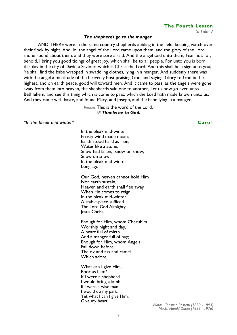# *Words: Christina Rossetti (1830 - 1894) Music: Harold Darke (1888 - 1976)*

#### 8

**The Fourth Lesson** 

*St Luke 2* 

#### *The shepherds go to the manger.*

AND THERE were in the same country shepherds abiding in the field, keeping watch over their flock by night. And, lo, the angel of the Lord came upon them, and the glory of the Lord shone round about them: and they were sore afraid. And the angel said unto them, Fear not: for, behold, I bring you good tidings of great joy, which shall be to all people. For unto you is born this day in the city of David a Saviour, which is Christ the Lord. And this shall be a sign unto you; Ye shall find the babe wrapped in swaddling clothes, lying in a manger. And suddenly there was with the angel a multitude of the heavenly host praising God, and saying, Glory to God in the highest, and on earth peace, good will toward men. And it came to pass, as the angels were gone away from them into heaven, the shepherds said one to another, Let us now go even unto Bethlehem, and see this thing which is come to pass, which the Lord hath made known unto us. And they came with haste, and found Mary, and Joseph, and the babe lying in a manger.

> *Reader* This is the word of the Lord. *All Thanks be to God.*

*"In the bleak mid-winter"* **Carol** 

In the bleak mid-winter Frosty wind made moan; Earth stood hard as iron, Water like a stone; Snow had fallen, snow on snow, Snow on snow, In the bleak mid-winter Long ago.

Our God, heaven cannot hold Him Nor earth sustain, Heaven and earth shall flee away When He comes to reign: In the bleak mid-winter A stable-place sufficed The Lord God Almighty lesus Christ.

Enough for Him, whom Cherubim Worship night and day, A heart full of mirth And a manger full of hay; Enough for Him, whom Angels Fall down before, The ox and ass and camel Which adore.

What can I give Him, Poor as I am? If I were a shepherd I would bring a lamb; If I were a wise man I would do my part, Yet what I can I give Him, Give my heart.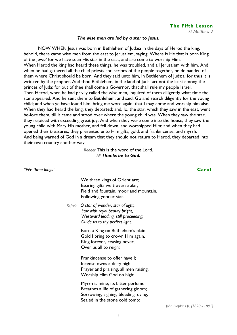#### *The wise men are led by a star to Jesus.*

NOW WHEN Jesus was born in Bethlehem of Judæa in the days of Herod the king, behold, there came wise men from the east to Jerusalem, saying, Where is He that is born King of the Jews? for we have seen His star in the east, and are come to worship Him. When Herod the king had heard these things, he was troubled, and all Jerusalem with him. And when he had gathered all the chief priests and scribes of the people together, he demanded of them where Christ should be born. And they said unto him, In Bethlehem of Judæa: for thus it is writ-ten by the prophet, And thou Bethlehem, in the land of Juda, art not the least among the princes of Juda: for out of thee shall come a Governor, that shall rule my people Israel. Then Herod, when he had privily called the wise men, inquired of them diligently what time the star appeared. And he sent them to Bethlehem, and said, Go and search diligently for the young child; and when ye have found him, bring me word again, that I may come and worship him also. When they had heard the king, they departed; and, lo, the star, which they saw in the east, went be-fore them, till it came and stood over where the young child was. When they saw the star, they rejoiced with exceeding great joy. And when they were come into the house, they saw the young child with Mary His mother, and fell down, and worshipped Him: and when they had opened their treasures, they presented unto Him gifts; gold, and frankincense, and myrrh. And being warned of God in a dream that they should not return to Herod, they departed into their own country another way.

> *Reader* This is the word of the Lord. *All Thanks be to God.*

| "We three kings" |                                                                                                                                                     | Carol                          |
|------------------|-----------------------------------------------------------------------------------------------------------------------------------------------------|--------------------------------|
|                  | We three kings of Orient are;<br>Bearing gifts we traverse afar,<br>Field and fountain, moor and mountain,<br>Following yonder star.                |                                |
|                  | Refrain O star of wonder, star of light,<br>Star with royal beauty bright,<br>Westward leading, still proceeding,<br>Guide us to thy perfect light. |                                |
|                  | Born a King on Bethlehem's plain<br>Gold I bring to crown Him again,<br>King forever, ceasing never,<br>Over us all to reign:                       |                                |
|                  | Frankincense to offer have I;<br>Incense owns a deity nigh;<br>Prayer and praising, all men raising,<br>Worship Him God on high:                    |                                |
|                  | Myrrh is mine; its bitter perfume<br>Breathes a life of gathering gloom;<br>Sorrowing, sighing, bleeding, dying,<br>Sealed in the stone cold tomb:  |                                |
|                  |                                                                                                                                                     | John Hopkins Jr. (1820 - 1891) |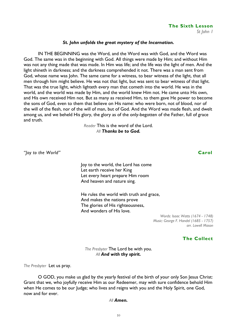## **The Sixth Lesson**

*St John 1* 

### *St. John unfolds the great mystery of the Incarnation.*

IN THE BEGINNING was the Word, and the Word was with God, and the Word was God. The same was in the beginning with God. All things were made by Him; and without Him was not any thing made that was made. In Him was life; and the life was the light of men. And the light shineth in darkness; and the darkness comprehended it not. There was a man sent from God, whose name was John. The same came for a witness, to bear witness of the light, that all men through him might believe. He was not that light, but was sent to bear witness of that light. That was the true light, which lighteth every man that cometh into the world. He was in the world, and the world was made by Him, and the world knew Him not. He came unto His own, and His own received Him not. But as many as received Him, to them gave He power to become the sons of God, even to them that believe on His name: who were born, not of blood, nor of the will of the flesh, nor of the will of man, but of God. And the Word was made flesh, and dwelt among us, and we beheld His glory, the glory as of the only-begotten of the Father, full of grace and truth.

> *Reader* This is the word of the Lord. *All Thanks be to God.*

*"Joy to the World"* **Carol** 

Joy to the world, the Lord has come Let earth receive her King Let every heart prepare Him room And heaven and nature sing.

He rules the world with truth and grace, And makes the nations prove The glories of His righteousness, And wonders of His love.

> *Words: Isaac Watts (1674 - 1748) Music: George F. Handel (1685 - 1757) arr. Lowell Mason*

### **The Collect**

*The Presbyter* The Lord be with you. *All And with thy spirit.* 

*The Presbyter* Let us pray.

O GOD, you make us glad by the yearly festival of the birth of your only Son Jesus Christ: Grant that we, who joyfully receive Him as our Redeemer, may with sure confidence behold Him when He comes to be our Judge; who lives and reigns with you and the Holy Spirit, one God, now and for ever.

#### *All Amen.*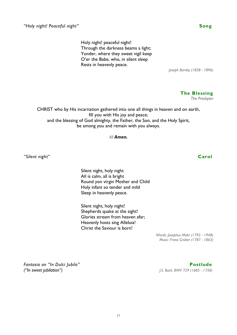Holy night! peaceful night! Through the darkness beams a light; Yonder, where they sweet vigil keep O'er the Babe, who, in silent sleep Rests in heavenly peace.

*Joseph Barnby (1838 - 1896)* 

**The Blessing**  *The Presbyter* 

CHRIST who by His incarnation gathered into one all things in heaven and on earth, fill you with His joy and peace; and the blessing of God almighty, the Father, the Son, and the Holy Spirit, be among you and remain with you always.

*All Amen.* 

*"Silent night"* **Carol**

Silent night, holy night All is calm, all is bright Round yon virgin Mother and Child Holy infant so tender and mild Sleep in heavenly peace.

Silent night, holy night! Shepherds quake at the sight! Glories stream from heaven afar; Heavenly hosts sing Alleluia! Christ the Saviour is born!

> *Words: Josephus Mohr (1792 - 1948) Music: Franz Grüber (1787 - 1863)*

*Fantasia on "In Dulci Jubilo"* **Postlude**  *("In sweet jubilation") J.S. Bach, BWV 729 (1685 - 1750)*